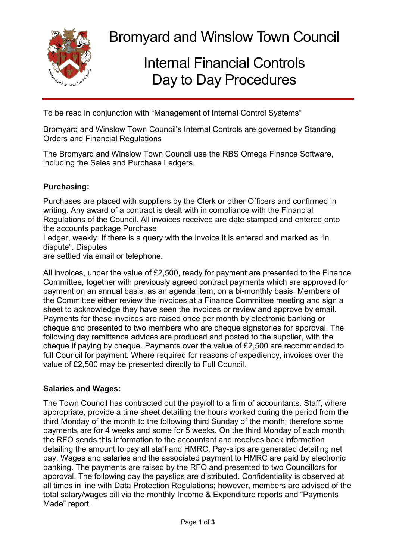

Bromyard and Winslow Town Council

# Internal Financial Controls Day to Day Procedures

To be read in conjunction with "Management of Internal Control Systems"

Bromyard and Winslow Town Council's Internal Controls are governed by Standing Orders and Financial Regulations

The Bromyard and Winslow Town Council use the RBS Omega Finance Software, including the Sales and Purchase Ledgers.

#### **Purchasing:**

Purchases are placed with suppliers by the Clerk or other Officers and confirmed in writing. Any award of a contract is dealt with in compliance with the Financial Regulations of the Council. All invoices received are date stamped and entered onto the accounts package Purchase

Ledger, weekly. If there is a query with the invoice it is entered and marked as "in dispute". Disputes

are settled via email or telephone.

All invoices, under the value of £2,500, ready for payment are presented to the Finance Committee, together with previously agreed contract payments which are approved for payment on an annual basis, as an agenda item, on a bi-monthly basis. Members of the Committee either review the invoices at a Finance Committee meeting and sign a sheet to acknowledge they have seen the invoices or review and approve by email. Payments for these invoices are raised once per month by electronic banking or cheque and presented to two members who are cheque signatories for approval. The following day remittance advices are produced and posted to the supplier, with the cheque if paying by cheque. Payments over the value of £2,500 are recommended to full Council for payment. Where required for reasons of expediency, invoices over the value of £2,500 may be presented directly to Full Council.

#### **Salaries and Wages:**

The Town Council has contracted out the payroll to a firm of accountants. Staff, where appropriate, provide a time sheet detailing the hours worked during the period from the third Monday of the month to the following third Sunday of the month; therefore some payments are for 4 weeks and some for 5 weeks. On the third Monday of each month the RFO sends this information to the accountant and receives back information detailing the amount to pay all staff and HMRC. Pay-slips are generated detailing net pay. Wages and salaries and the associated payment to HMRC are paid by electronic banking. The payments are raised by the RFO and presented to two Councillors for approval. The following day the payslips are distributed. Confidentiality is observed at all times in line with Data Protection Regulations; however, members are advised of the total salary/wages bill via the monthly Income & Expenditure reports and "Payments Made" report.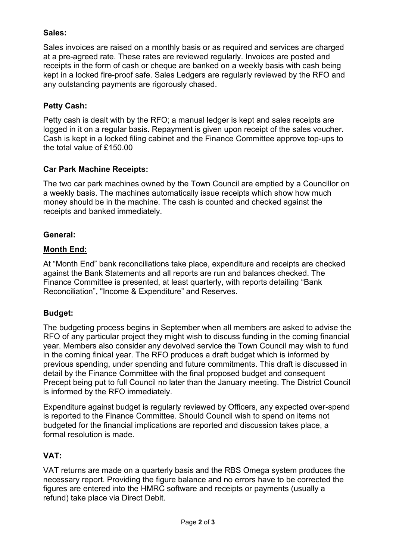## **Sales:**

Sales invoices are raised on a monthly basis or as required and services are charged at a pre-agreed rate. These rates are reviewed regularly. Invoices are posted and receipts in the form of cash or cheque are banked on a weekly basis with cash being kept in a locked fire-proof safe. Sales Ledgers are regularly reviewed by the RFO and any outstanding payments are rigorously chased.

#### **Petty Cash:**

Petty cash is dealt with by the RFO; a manual ledger is kept and sales receipts are logged in it on a regular basis. Repayment is given upon receipt of the sales voucher. Cash is kept in a locked filing cabinet and the Finance Committee approve top-ups to the total value of £150.00

#### **Car Park Machine Receipts:**

The two car park machines owned by the Town Council are emptied by a Councillor on a weekly basis. The machines automatically issue receipts which show how much money should be in the machine. The cash is counted and checked against the receipts and banked immediately.

#### **General:**

## **Month End:**

At "Month End" bank reconciliations take place, expenditure and receipts are checked against the Bank Statements and all reports are run and balances checked. The Finance Committee is presented, at least quarterly, with reports detailing "Bank Reconciliation", "Income & Expenditure" and Reserves.

# **Budget:**

The budgeting process begins in September when all members are asked to advise the RFO of any particular project they might wish to discuss funding in the coming financial year. Members also consider any devolved service the Town Council may wish to fund in the coming finical year. The RFO produces a draft budget which is informed by previous spending, under spending and future commitments. This draft is discussed in detail by the Finance Committee with the final proposed budget and consequent Precept being put to full Council no later than the January meeting. The District Council is informed by the RFO immediately.

Expenditure against budget is regularly reviewed by Officers, any expected over-spend is reported to the Finance Committee. Should Council wish to spend on items not budgeted for the financial implications are reported and discussion takes place, a formal resolution is made.

# **VAT:**

VAT returns are made on a quarterly basis and the RBS Omega system produces the necessary report. Providing the figure balance and no errors have to be corrected the figures are entered into the HMRC software and receipts or payments (usually a refund) take place via Direct Debit.